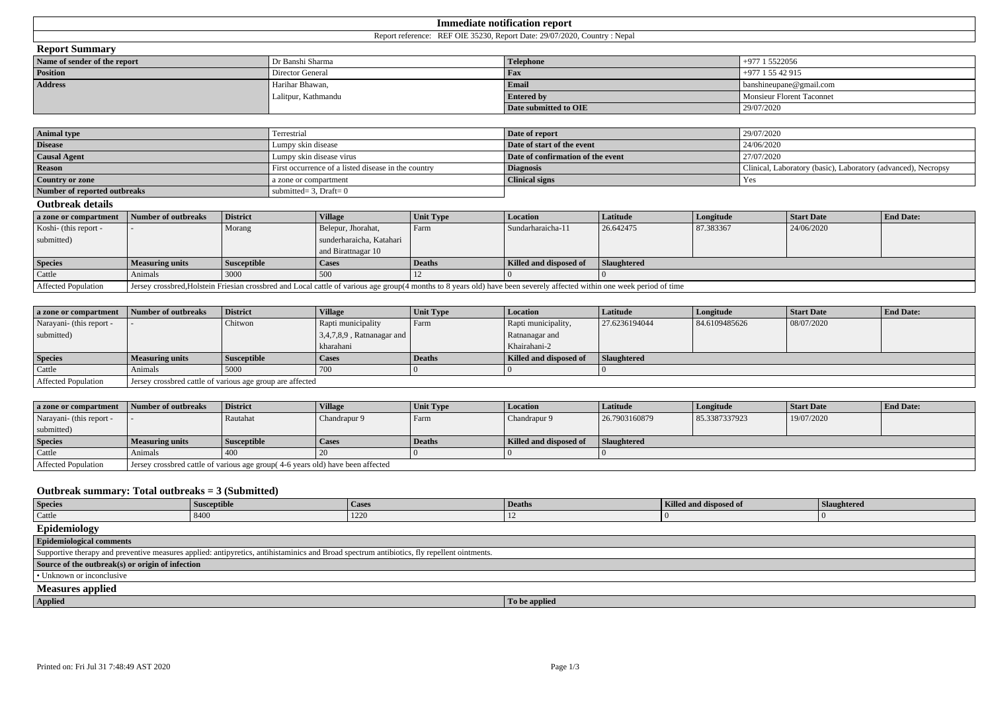| === Immediate ==<br>notification report |  |  |  |  |
|-----------------------------------------|--|--|--|--|
| лы                                      |  |  |  |  |
| $\sim$                                  |  |  |  |  |

|  | <b>Report Summary</b> |
|--|-----------------------|
|--|-----------------------|

| Name of sender of the report | Dr Banshi Sharma    | <b>Telephone</b>      | $+977$ 1 5522056                       |
|------------------------------|---------------------|-----------------------|----------------------------------------|
| <b>Position</b>              | Director General    | <b>Fax</b>            | $+977$ 1 55 42 915                     |
| <b>Address</b>               | Harihar Bhawan.     | Emai                  | $\blacksquare$ banshineupane@gmail.com |
|                              | Lalitpur, Kathmandu | <b>Entered by</b>     | Monsieur Florent Taconnet              |
|                              |                     | Date submitted to OIE | 29/07/2020                             |

| <b>Animal type</b>           | Terrestrial                                         | Date of report                    | 29/07/2020                                                    |
|------------------------------|-----------------------------------------------------|-----------------------------------|---------------------------------------------------------------|
| <b>Disease</b>               | Lumpy skin disease                                  | Date of start of the event        | 24/06/2020                                                    |
| <b>Causal Agent</b>          | Lumpy skin disease virus                            | Date of confirmation of the event | 27/07/2020                                                    |
| <b>Reason</b>                | First occurrence of a listed disease in the country | <b>Diagnosis</b>                  | Clinical, Laboratory (basic), Laboratory (advanced), Necropsy |
| Country or zone              | a zone or compartment                               | <b>Clinical signs</b>             | Yes                                                           |
| Number of reported outbreaks | submitted = $3$ , Draft = 0                         |                                   |                                                               |

## **Outbreak details**

| a zone or compartment      | Number of outbreaks                                                                                                                                                     | <b>District</b>    | <b>Village</b>           | Unit Type | Location               | Latitude           | Longitude | Start Date | <b>End Date:</b> |
|----------------------------|-------------------------------------------------------------------------------------------------------------------------------------------------------------------------|--------------------|--------------------------|-----------|------------------------|--------------------|-----------|------------|------------------|
| Koshi- (this report -      |                                                                                                                                                                         | Morang             | Belepur, Jhorahat,       | l Farm    | Sundarharaicha-11      | 26.642475          | 87.383367 | 24/06/2020 |                  |
| submitted)                 |                                                                                                                                                                         |                    | sunderharaicha, Katahari |           |                        |                    |           |            |                  |
|                            |                                                                                                                                                                         |                    | and Birattnagar 10       |           |                        |                    |           |            |                  |
| <b>Species</b>             | <b>Measuring units</b>                                                                                                                                                  | <b>Susceptible</b> | <b>Cases</b>             | Deaths    | Killed and disposed of | <b>Slaughtered</b> |           |            |                  |
| Cattle                     | Animals                                                                                                                                                                 | 3000               | 500                      |           |                        |                    |           |            |                  |
| <b>Affected Population</b> | Jersey crossbred, Holstein Friesian crossbred and Local cattle of various age group(4 months to 8 years old) have been severely affected within one week period of time |                    |                          |           |                        |                    |           |            |                  |

| a zone or compartment    | Number of outbreaks                                         | <b>District</b>    | <b>Village</b>                | Unit Type     | <i>Location</i>        | <b>Latitude</b>    | Longitude     | <b>Start Date</b> | <b>End Date:</b> |
|--------------------------|-------------------------------------------------------------|--------------------|-------------------------------|---------------|------------------------|--------------------|---------------|-------------------|------------------|
| Narayani- (this report - |                                                             | Chitwon            | Rapti municipality            | Farm          | Rapti municipality,    | 27.6236194044      | 84.6109485626 | 08/07/2020        |                  |
| submitted)               |                                                             |                    | $13,4,7,8,9$ , Ratnanagar and |               | Ratnanagar and         |                    |               |                   |                  |
|                          |                                                             |                    | kharahani                     |               | Khairahani-2           |                    |               |                   |                  |
| <b>Species</b>           | Measuring units                                             | <b>Susceptible</b> | <b>Cases</b>                  | <b>Deaths</b> | Killed and disposed of | <b>Slaughtered</b> |               |                   |                  |
| <b>Cattle</b>            | Animals                                                     | 5000               |                               |               |                        |                    |               |                   |                  |
| Affected Population      | I Jersey crossbred cattle of various age group are affected |                    |                               |               |                        |                    |               |                   |                  |

| a zone or compartment    | Number of outbreaks | <b>District</b>    | <b>Village</b> | <b>Unit Type</b>  | Location               | <b>Latitude</b>    | Longitude     | <b>Start Date</b> | <b>End Date:</b> |
|--------------------------|---------------------|--------------------|----------------|-------------------|------------------------|--------------------|---------------|-------------------|------------------|
| Narayani- (this report - |                     | Rautahat           | Chandrapur 9   | <sup>1</sup> Farm | Chandrapur 9           | 26.7903160879      | 85.3387337923 | 19/07/2020        |                  |
| submitted)               |                     |                    |                |                   |                        |                    |               |                   |                  |
| <b>Species</b>           | Measuring units     | <b>Susceptible</b> | ' Cases        | <b>Deaths</b>     | Killed and disposed of | <b>Slaughtered</b> |               |                   |                  |
| Cattle                   | Animals             | 400                |                |                   |                        |                    |               |                   |                  |
|                          |                     |                    |                |                   |                        |                    |               |                   |                  |

## **Outbreak summary: Total outbreaks = 3 (Submitted)**

| <b>Species</b>                                                                                                                             | <b>Susceptible</b> | <b>Cases</b> | <b>Deaths</b> | Killed and disposed of | Slaughtered |  |  |  |
|--------------------------------------------------------------------------------------------------------------------------------------------|--------------------|--------------|---------------|------------------------|-------------|--|--|--|
| Cattle                                                                                                                                     | 8400               | 1220         |               |                        |             |  |  |  |
| Epidemiology                                                                                                                               |                    |              |               |                        |             |  |  |  |
| <b>Epidemiological comments</b>                                                                                                            |                    |              |               |                        |             |  |  |  |
| Supportive therapy and preventive measures applied: antipyretics, antihistaminics and Broad spectrum antibiotics, fly repellent ointments. |                    |              |               |                        |             |  |  |  |
| Source of the outbreak(s) or origin of infection                                                                                           |                    |              |               |                        |             |  |  |  |
| $\cdot$ Unknown or inconclusive                                                                                                            |                    |              |               |                        |             |  |  |  |
| <b>Measures applied</b>                                                                                                                    |                    |              |               |                        |             |  |  |  |
| Applied                                                                                                                                    |                    |              | To be applied |                        |             |  |  |  |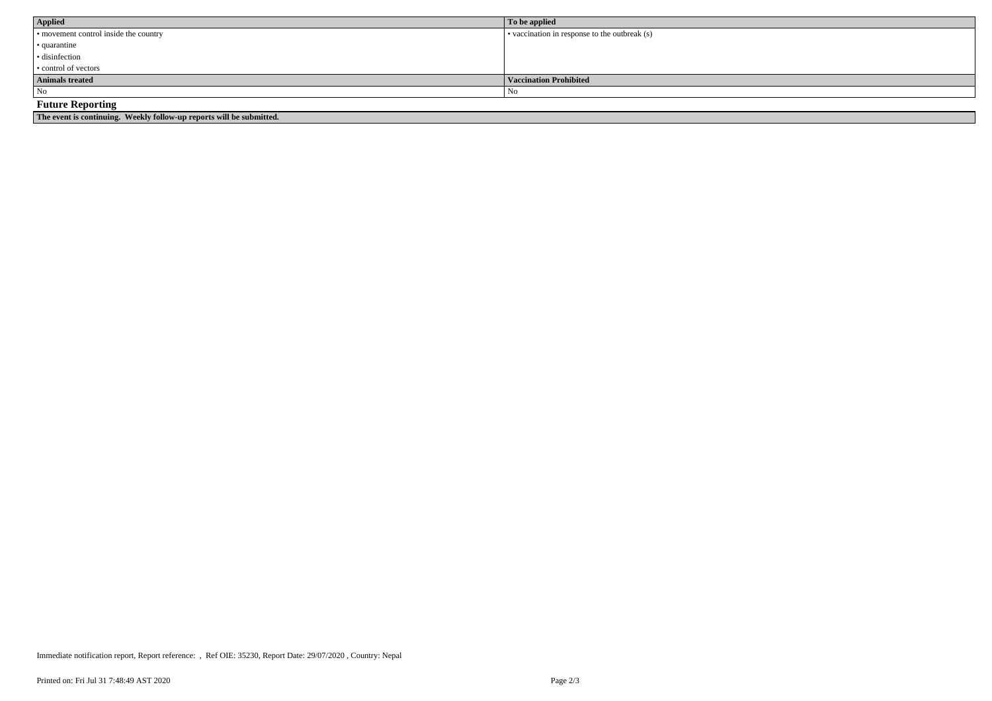| Applied                                                              | To be applied                                 |
|----------------------------------------------------------------------|-----------------------------------------------|
| • movement control inside the country                                | • vaccination in response to the outbreak (s) |
| $\cdot$ quarantine                                                   |                                               |
| · disinfection                                                       |                                               |
| $\cdot$ control of vectors                                           |                                               |
| <b>Animals treated</b>                                               | Vaccination Prohibited                        |
| $\overline{\phantom{a}}$ No                                          | No                                            |
| <b>Future Reporting</b>                                              |                                               |
| The event is continuing. Weekly follow-up reports will be submitted. |                                               |